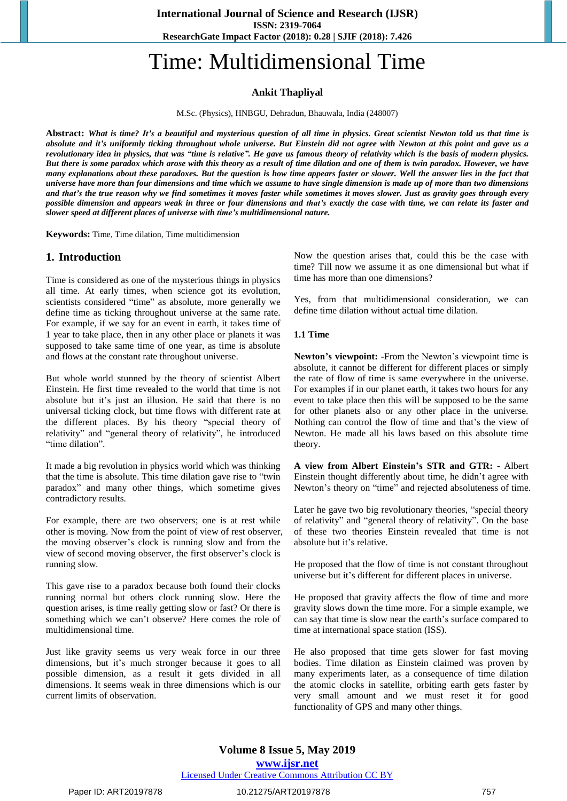**International Journal of Science and Research (IJSR)**

**ISSN: 2319-7064**

**ResearchGate Impact Factor (2018): 0.28 | SJIF (2018): 7.426**

# Time: Multidimensional Time

## **Ankit Thapliyal**

M.Sc. (Physics), HNBGU, Dehradun, Bhauwala, India (248007)

Abstract: What is time? It's a beautiful and mysterious question of all time in physics. Great scientist Newton told us that time is absolute and it's uniformly ticking throughout whole universe. But Einstein did not agree with Newton at this point and gave us a revolutionary idea in physics, that was "time is relative". He gave us famous theory of relativity which is the basis of modern physics. But there is some paradox which arose with this theory as a result of time dilation and one of them is twin paradox. However, we have many explanations about these paradoxes. But the question is how time appears faster or slower. Well the answer lies in the fact that universe have more than four dimensions and time which we assume to have single dimension is made up of more than two dimensions and that's the true reason why we find sometimes it moves faster while sometimes it moves slower. Just as gravity goes through every possible dimension and appears weak in three or four dimensions and that's exactly the case with time, we can relate its faster and *slower speed at different places of universe with time's multidimensional nature.*

**Keywords:** Time, Time dilation, Time multidimension

#### **1. Introduction**

Time is considered as one of the mysterious things in physics all time. At early times, when science got its evolution, scientists considered "time" as absolute, more generally we define time as ticking throughout universe at the same rate. For example, if we say for an event in earth, it takes time of 1 year to take place, then in any other place or planets it was supposed to take same time of one year, as time is absolute and flows at the constant rate throughout universe.

But whole world stunned by the theory of scientist Albert Einstein. He first time revealed to the world that time is not absolute but it's just an illusion. He said that there is no universal ticking clock, but time flows with different rate at the different places. By his theory "special theory of relativity" and "general theory of relativity", he introduced "time dilation".

It made a big revolution in physics world which was thinking that the time is absolute. This time dilation gave rise to "twin paradox" and many other things, which sometime gives contradictory results.

For example, there are two observers; one is at rest while other is moving. Now from the point of view of rest observer, the moving observer's clock is running slow and from the view of second moving observer, the first observer's clock is running slow.

This gave rise to a paradox because both found their clocks running normal but others clock running slow. Here the question arises, is time really getting slow or fast? Or there is something which we can't observe? Here comes the role of multidimensional time.

Just like gravity seems us very weak force in our three dimensions, but it's much stronger because it goes to all possible dimension, as a result it gets divided in all dimensions. It seems weak in three dimensions which is our current limits of observation.

Now the question arises that, could this be the case with time? Till now we assume it as one dimensional but what if time has more than one dimensions?

Yes, from that multidimensional consideration, we can define time dilation without actual time dilation.

#### **1.1 Time**

**Newton's viewpoint: -**From the Newton's viewpoint time is absolute, it cannot be different for different places or simply the rate of flow of time is same everywhere in the universe. For examples if in our planet earth, it takes two hours for any event to take place then this will be supposed to be the same for other planets also or any other place in the universe. Nothing can control the flow of time and that's the view of Newton. He made all his laws based on this absolute time theory.

**A view from Albert Einstein's STR and GTR: -** Albert Einstein thought differently about time, he didn't agree with Newton's theory on "time" and rejected absoluteness of time.

Later he gave two big revolutionary theories, "special theory of relativity" and "general theory of relativity". On the base of these two theories Einstein revealed that time is not absolute but it's relative.

He proposed that the flow of time is not constant throughout universe but it's different for different places in universe.

He proposed that gravity affects the flow of time and more gravity slows down the time more. For a simple example, we can say that time is slow near the earth's surface compared to time at international space station (ISS).

He also proposed that time gets slower for fast moving bodies. Time dilation as Einstein claimed was proven by many experiments later, as a consequence of time dilation the atomic clocks in satellite, orbiting earth gets faster by very small amount and we must reset it for good functionality of GPS and many other things.

# **Volume 8 Issue 5, May 2019 www.ijsr.net**

## Licensed Under Creative Commons Attribution CC BY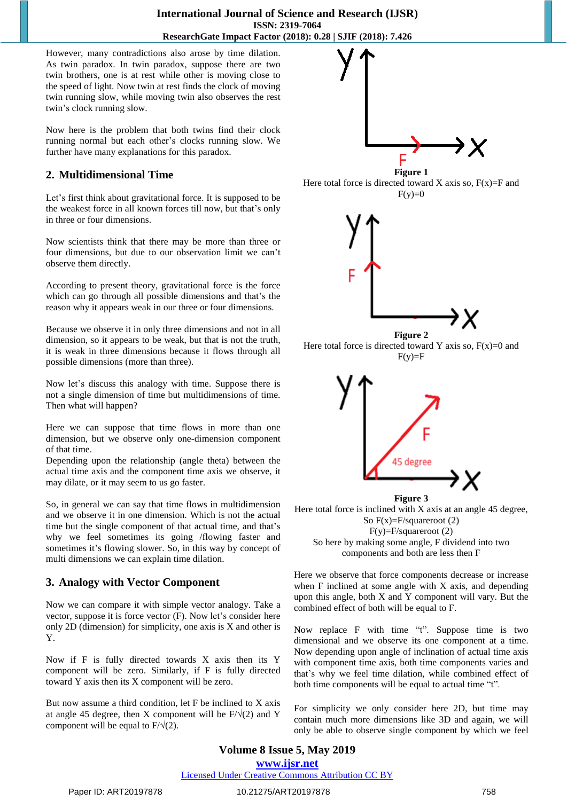However, many contradictions also arose by time dilation. As twin paradox. In twin paradox, suppose there are two twin brothers, one is at rest while other is moving close to the speed of light. Now twin at rest finds the clock of moving twin running slow, while moving twin also observes the rest twin's clock running slow.

Now here is the problem that both twins find their clock running normal but each other's clocks running slow. We further have many explanations for this paradox.

# **2. Multidimensional Time**

Let's first think about gravitational force. It is supposed to be the weakest force in all known forces till now, but that's only in three or four dimensions.

Now scientists think that there may be more than three or four dimensions, but due to our observation limit we can't observe them directly.

According to present theory, gravitational force is the force which can go through all possible dimensions and that's the reason why it appears weak in our three or four dimensions.

Because we observe it in only three dimensions and not in all dimension, so it appears to be weak, but that is not the truth, it is weak in three dimensions because it flows through all possible dimensions (more than three).

Now let's discuss this analogy with time. Suppose there is not a single dimension of time but multidimensions of time. Then what will happen?

Here we can suppose that time flows in more than one dimension, but we observe only one-dimension component of that time.

Depending upon the relationship (angle theta) between the actual time axis and the component time axis we observe, it may dilate, or it may seem to us go faster.

So, in general we can say that time flows in multidimension and we observe it in one dimension. Which is not the actual time but the single component of that actual time, and that's why we feel sometimes its going /flowing faster and sometimes it's flowing slower. So, in this way by concept of multi dimensions we can explain time dilation.

# **3. Analogy with Vector Component**

Now we can compare it with simple vector analogy. Take a vector, suppose it is force vector (F). Now let's consider here only 2D (dimension) for simplicity, one axis is X and other is Y.

Now if F is fully directed towards X axis then its Y component will be zero. Similarly, if F is fully directed toward Y axis then its X component will be zero.

But now assume a third condition, let F be inclined to X axis at angle 45 degree, then X component will be  $F/\sqrt{2}$  and Y component will be equal to  $F/\sqrt{2}$ .





Here total force is inclined with X axis at an angle 45 degree,

So  $F(x)=F/square root (2)$  $F(y)=F/square root (2)$ So here by making some angle, F dividend into two components and both are less then F

Here we observe that force components decrease or increase when  $F$  inclined at some angle with  $X$  axis, and depending upon this angle, both X and Y component will vary. But the combined effect of both will be equal to F.

Now replace F with time "t". Suppose time is two dimensional and we observe its one component at a time. Now depending upon angle of inclination of actual time axis with component time axis, both time components varies and that's why we feel time dilation, while combined effect of both time components will be equal to actual time "t".

For simplicity we only consider here 2D, but time may contain much more dimensions like 3D and again, we will only be able to observe single component by which we feel

# **Volume 8 Issue 5, May 2019**

**www.ijsr.net**

Licensed Under Creative Commons Attribution CC BY